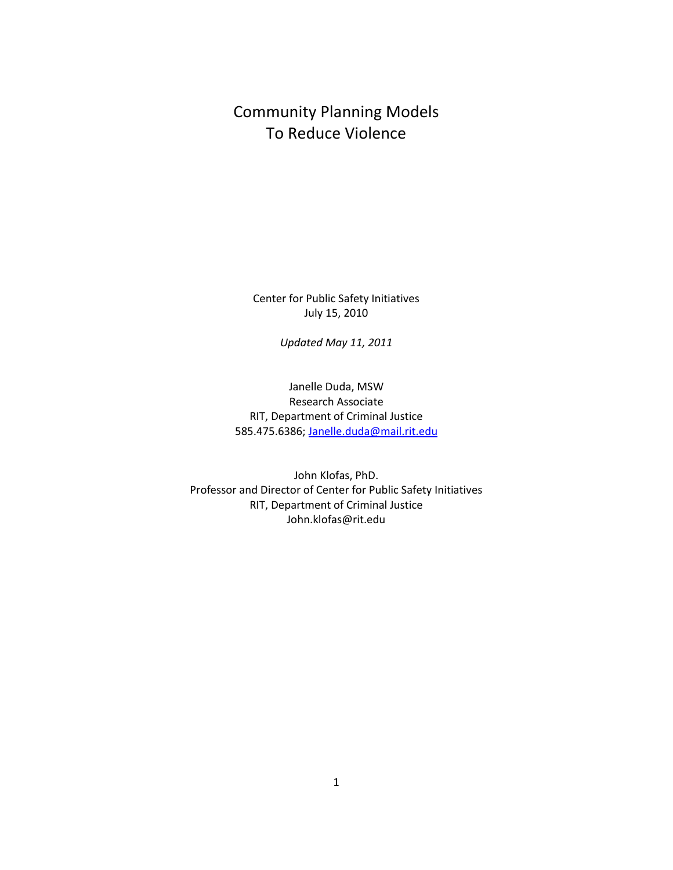Community Planning Models To Reduce Violence

Center for Public Safety Initiatives July 15, 2010

*Updated May 11, 2011*

Janelle Duda, MSW Research Associate RIT, Department of Criminal Justice 585.475.6386[; Janelle.duda@mail.rit.edu](mailto:Janelle.duda@mail.rit.edu)

John Klofas, PhD. Professor and Director of Center for Public Safety Initiatives RIT, Department of Criminal Justice John.klofas@rit.edu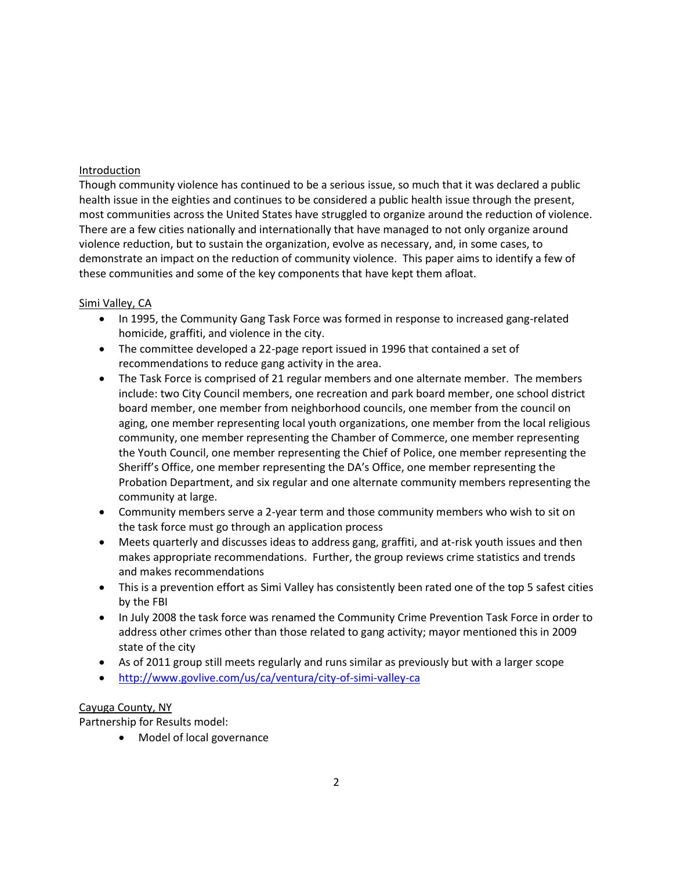### Introduction

Though community violence has continued to be a serious issue, so much that it was declared a public health issue in the eighties and continues to be considered a public health issue through the present, most communities across the United States have struggled to organize around the reduction of violence. There are a few cities nationally and internationally that have managed to not only organize around violence reduction, but to sustain the organization, evolve as necessary, and, in some cases, to demonstrate an impact on the reduction of community violence. This paper aims to identify a few of these communities and some of the key components that have kept them afloat.

## Simi Valley, CA

- In 1995, the Community Gang Task Force was formed in response to increased gang-related homicide, graffiti, and violence in the city.
- The committee developed a 22-page report issued in 1996 that contained a set of recommendations to reduce gang activity in the area.
- The Task Force is comprised of 21 regular members and one alternate member. The members include: two City Council members, one recreation and park board member, one school district board member, one member from neighborhood councils, one member from the council on aging, one member representing local youth organizations, one member from the local religious community, one member representing the Chamber of Commerce, one member representing the Youth Council, one member representing the Chief of Police, one member representing the Sheriff's Office, one member representing the DA's Office, one member representing the Probation Department, and six regular and one alternate community members representing the community at large.
- Community members serve a 2-year term and those community members who wish to sit on the task force must go through an application process
- Meets quarterly and discusses ideas to address gang, graffiti, and at-risk youth issues and then makes appropriate recommendations. Further, the group reviews crime statistics and trends and makes recommendations
- This is a prevention effort as Simi Valley has consistently been rated one of the top 5 safest cities by the FBI
- In July 2008 the task force was renamed the Community Crime Prevention Task Force in order to address other crimes other than those related to gang activity; mayor mentioned this in 2009 state of the city
- As of 2011 group still meets regularly and runs similar as previously but with a larger scope
- <http://www.govlive.com/us/ca/ventura/city-of-simi-valley-ca>

## Cayuga County, NY

Partnership for Results model:

Model of local governance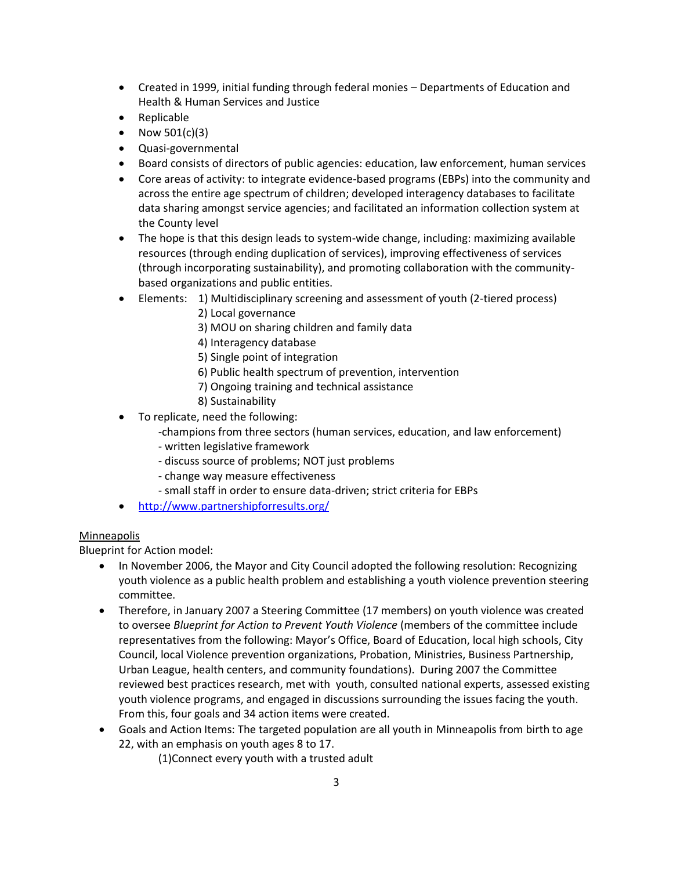- Created in 1999, initial funding through federal monies Departments of Education and Health & Human Services and Justice
- Replicable
- Now  $501(c)(3)$
- Quasi-governmental
- Board consists of directors of public agencies: education, law enforcement, human services
- Core areas of activity: to integrate evidence-based programs (EBPs) into the community and across the entire age spectrum of children; developed interagency databases to facilitate data sharing amongst service agencies; and facilitated an information collection system at the County level
- The hope is that this design leads to system-wide change, including: maximizing available resources (through ending duplication of services), improving effectiveness of services (through incorporating sustainability), and promoting collaboration with the communitybased organizations and public entities.
- Elements: 1) Multidisciplinary screening and assessment of youth (2-tiered process)
	- 2) Local governance
	- 3) MOU on sharing children and family data
	- 4) Interagency database
	- 5) Single point of integration
	- 6) Public health spectrum of prevention, intervention
	- 7) Ongoing training and technical assistance
	- 8) Sustainability
- To replicate, need the following:
	- -champions from three sectors (human services, education, and law enforcement)
	- written legislative framework
	- discuss source of problems; NOT just problems
	- change way measure effectiveness
	- small staff in order to ensure data-driven; strict criteria for EBPs
- <http://www.partnershipforresults.org/>

## Minneapolis

Blueprint for Action model:

- In November 2006, the Mayor and City Council adopted the following resolution: Recognizing youth violence as a public health problem and establishing a youth violence prevention steering committee.
- Therefore, in January 2007 a Steering Committee (17 members) on youth violence was created to oversee *Blueprint for Action to Prevent Youth Violence* (members of the committee include representatives from the following: Mayor's Office, Board of Education, local high schools, City Council, local Violence prevention organizations, Probation, Ministries, Business Partnership, Urban League, health centers, and community foundations). During 2007 the Committee reviewed best practices research, met with youth, consulted national experts, assessed existing youth violence programs, and engaged in discussions surrounding the issues facing the youth. From this, four goals and 34 action items were created.
- Goals and Action Items: The targeted population are all youth in Minneapolis from birth to age 22, with an emphasis on youth ages 8 to 17.
	- (1)Connect every youth with a trusted adult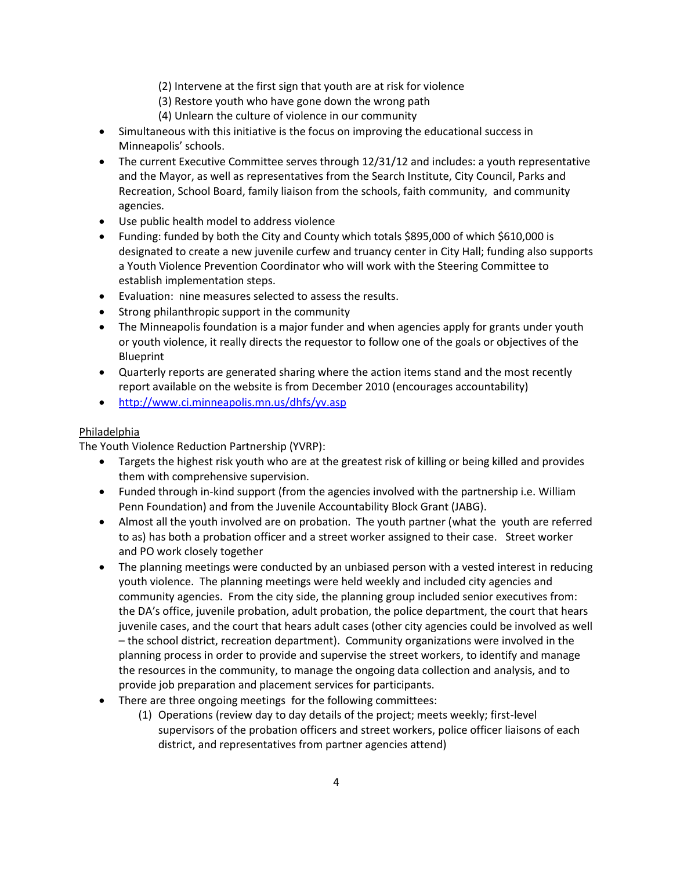- (2) Intervene at the first sign that youth are at risk for violence
- (3) Restore youth who have gone down the wrong path
- (4) Unlearn the culture of violence in our community
- Simultaneous with this initiative is the focus on improving the educational success in Minneapolis' schools.
- The current Executive Committee serves through 12/31/12 and includes: a youth representative and the Mayor, as well as representatives from the Search Institute, City Council, Parks and Recreation, School Board, family liaison from the schools, faith community, and community agencies.
- Use public health model to address violence
- Funding: funded by both the City and County which totals \$895,000 of which \$610,000 is designated to create a new juvenile curfew and truancy center in City Hall; funding also supports a Youth Violence Prevention Coordinator who will work with the Steering Committee to establish implementation steps.
- Evaluation: nine measures selected to assess the results.
- Strong philanthropic support in the community
- The Minneapolis foundation is a major funder and when agencies apply for grants under youth or youth violence, it really directs the requestor to follow one of the goals or objectives of the Blueprint
- Quarterly reports are generated sharing where the action items stand and the most recently report available on the website is from December 2010 (encourages accountability)
- <http://www.ci.minneapolis.mn.us/dhfs/yv.asp>

#### Philadelphia

The Youth Violence Reduction Partnership (YVRP):

- Targets the highest risk youth who are at the greatest risk of killing or being killed and provides them with comprehensive supervision.
- Funded through in-kind support (from the agencies involved with the partnership i.e. William Penn Foundation) and from the Juvenile Accountability Block Grant (JABG).
- Almost all the youth involved are on probation. The youth partner (what the youth are referred to as) has both a probation officer and a street worker assigned to their case. Street worker and PO work closely together
- The planning meetings were conducted by an unbiased person with a vested interest in reducing youth violence. The planning meetings were held weekly and included city agencies and community agencies. From the city side, the planning group included senior executives from: the DA's office, juvenile probation, adult probation, the police department, the court that hears juvenile cases, and the court that hears adult cases (other city agencies could be involved as well – the school district, recreation department). Community organizations were involved in the planning process in order to provide and supervise the street workers, to identify and manage the resources in the community, to manage the ongoing data collection and analysis, and to provide job preparation and placement services for participants.
- There are three ongoing meetings for the following committees:
	- (1) Operations (review day to day details of the project; meets weekly; first-level supervisors of the probation officers and street workers, police officer liaisons of each district, and representatives from partner agencies attend)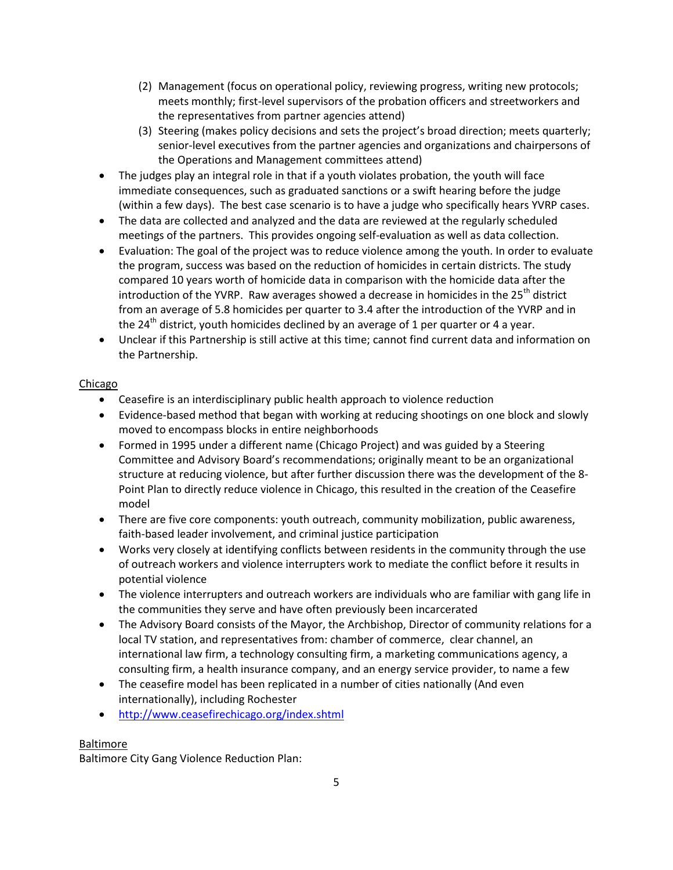- (2) Management (focus on operational policy, reviewing progress, writing new protocols; meets monthly; first-level supervisors of the probation officers and streetworkers and the representatives from partner agencies attend)
- (3) Steering (makes policy decisions and sets the project's broad direction; meets quarterly; senior-level executives from the partner agencies and organizations and chairpersons of the Operations and Management committees attend)
- The judges play an integral role in that if a youth violates probation, the youth will face immediate consequences, such as graduated sanctions or a swift hearing before the judge (within a few days). The best case scenario is to have a judge who specifically hears YVRP cases.
- The data are collected and analyzed and the data are reviewed at the regularly scheduled meetings of the partners. This provides ongoing self-evaluation as well as data collection.
- Evaluation: The goal of the project was to reduce violence among the youth. In order to evaluate the program, success was based on the reduction of homicides in certain districts. The study compared 10 years worth of homicide data in comparison with the homicide data after the introduction of the YVRP. Raw averages showed a decrease in homicides in the  $25<sup>th</sup>$  district from an average of 5.8 homicides per quarter to 3.4 after the introduction of the YVRP and in the 24<sup>th</sup> district, youth homicides declined by an average of 1 per quarter or 4 a year.
- Unclear if this Partnership is still active at this time; cannot find current data and information on the Partnership.

# Chicago

- Ceasefire is an interdisciplinary public health approach to violence reduction
- Evidence-based method that began with working at reducing shootings on one block and slowly moved to encompass blocks in entire neighborhoods
- Formed in 1995 under a different name (Chicago Project) and was guided by a Steering Committee and Advisory Board's recommendations; originally meant to be an organizational structure at reducing violence, but after further discussion there was the development of the 8- Point Plan to directly reduce violence in Chicago, this resulted in the creation of the Ceasefire model
- There are five core components: youth outreach, community mobilization, public awareness, faith-based leader involvement, and criminal justice participation
- Works very closely at identifying conflicts between residents in the community through the use of outreach workers and violence interrupters work to mediate the conflict before it results in potential violence
- The violence interrupters and outreach workers are individuals who are familiar with gang life in the communities they serve and have often previously been incarcerated
- The Advisory Board consists of the Mayor, the Archbishop, Director of community relations for a local TV station, and representatives from: chamber of commerce, clear channel, an international law firm, a technology consulting firm, a marketing communications agency, a consulting firm, a health insurance company, and an energy service provider, to name a few
- The ceasefire model has been replicated in a number of cities nationally (And even internationally), including Rochester
- <http://www.ceasefirechicago.org/index.shtml>

# Baltimore

Baltimore City Gang Violence Reduction Plan: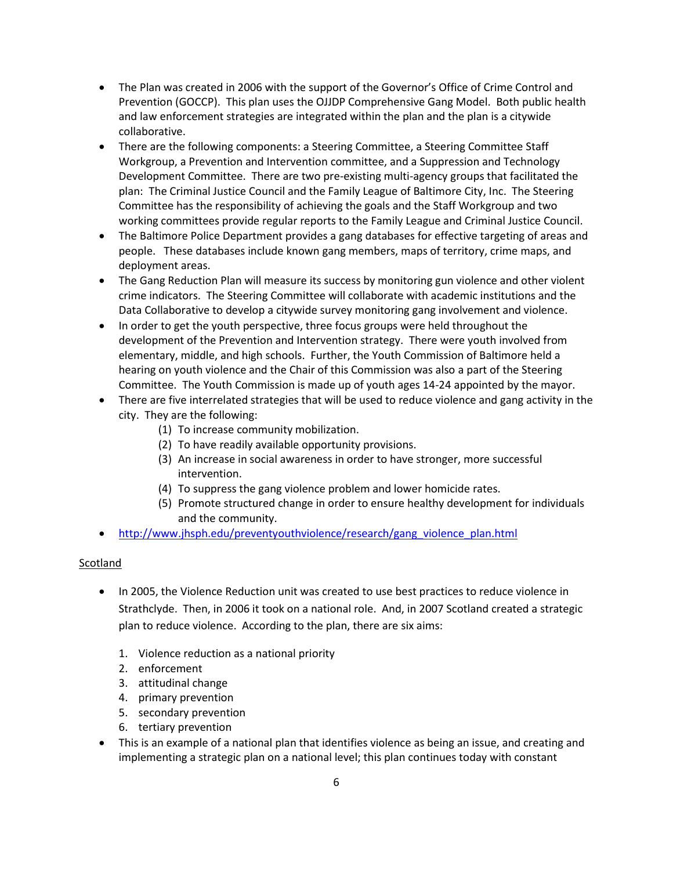- The Plan was created in 2006 with the support of the Governor's Office of Crime Control and Prevention (GOCCP). This plan uses the OJJDP Comprehensive Gang Model. Both public health and law enforcement strategies are integrated within the plan and the plan is a citywide collaborative.
- There are the following components: a Steering Committee, a Steering Committee Staff Workgroup, a Prevention and Intervention committee, and a Suppression and Technology Development Committee. There are two pre-existing multi-agency groups that facilitated the plan: The Criminal Justice Council and the Family League of Baltimore City, Inc. The Steering Committee has the responsibility of achieving the goals and the Staff Workgroup and two working committees provide regular reports to the Family League and Criminal Justice Council.
- The Baltimore Police Department provides a gang databases for effective targeting of areas and people. These databases include known gang members, maps of territory, crime maps, and deployment areas.
- The Gang Reduction Plan will measure its success by monitoring gun violence and other violent crime indicators. The Steering Committee will collaborate with academic institutions and the Data Collaborative to develop a citywide survey monitoring gang involvement and violence.
- In order to get the youth perspective, three focus groups were held throughout the development of the Prevention and Intervention strategy. There were youth involved from elementary, middle, and high schools. Further, the Youth Commission of Baltimore held a hearing on youth violence and the Chair of this Commission was also a part of the Steering Committee. The Youth Commission is made up of youth ages 14-24 appointed by the mayor.
- There are five interrelated strategies that will be used to reduce violence and gang activity in the city. They are the following:
	- (1) To increase community mobilization.
	- (2) To have readily available opportunity provisions.
	- (3) An increase in social awareness in order to have stronger, more successful intervention.
	- (4) To suppress the gang violence problem and lower homicide rates.
	- (5) Promote structured change in order to ensure healthy development for individuals and the community.
- [http://www.jhsph.edu/preventyouthviolence/research/gang\\_violence\\_plan.html](http://www.jhsph.edu/preventyouthviolence/research/gang_violence_plan.html)

## Scotland

- In 2005, the Violence Reduction unit was created to use best practices to reduce violence in Strathclyde. Then, in 2006 it took on a national role. And, in 2007 Scotland created a strategic plan to reduce violence. According to the plan, there are six aims:
	- 1. Violence reduction as a national priority
	- 2. enforcement
	- 3. attitudinal change
	- 4. primary prevention
	- 5. secondary prevention
	- 6. tertiary prevention
- This is an example of a national plan that identifies violence as being an issue, and creating and implementing a strategic plan on a national level; this plan continues today with constant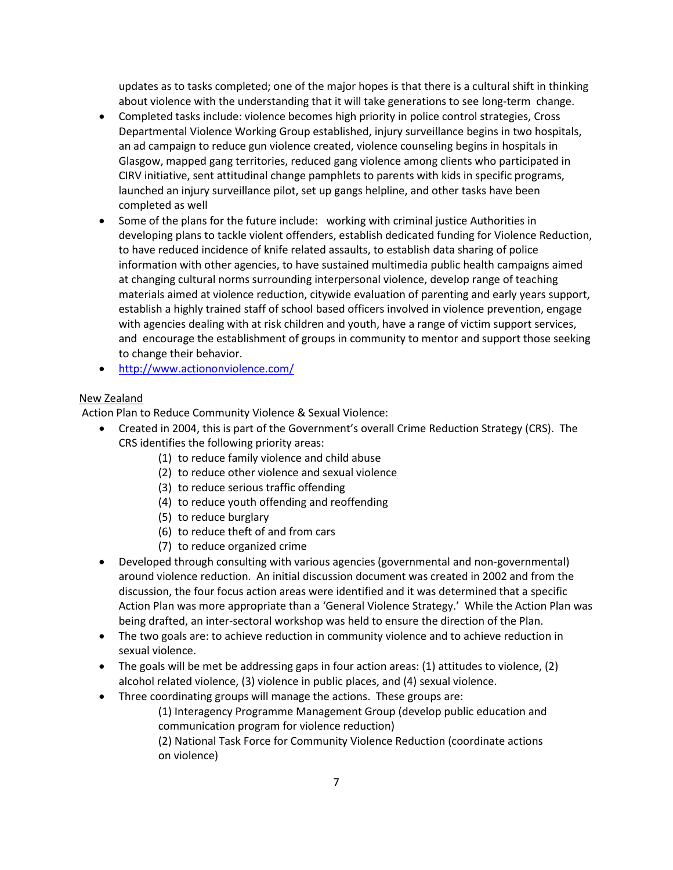updates as to tasks completed; one of the major hopes is that there is a cultural shift in thinking about violence with the understanding that it will take generations to see long-term change.

- Completed tasks include: violence becomes high priority in police control strategies, Cross Departmental Violence Working Group established, injury surveillance begins in two hospitals, an ad campaign to reduce gun violence created, violence counseling begins in hospitals in Glasgow, mapped gang territories, reduced gang violence among clients who participated in CIRV initiative, sent attitudinal change pamphlets to parents with kids in specific programs, launched an injury surveillance pilot, set up gangs helpline, and other tasks have been completed as well
- Some of the plans for the future include: working with criminal justice Authorities in developing plans to tackle violent offenders, establish dedicated funding for Violence Reduction, to have reduced incidence of knife related assaults, to establish data sharing of police information with other agencies, to have sustained multimedia public health campaigns aimed at changing cultural norms surrounding interpersonal violence, develop range of teaching materials aimed at violence reduction, citywide evaluation of parenting and early years support, establish a highly trained staff of school based officers involved in violence prevention, engage with agencies dealing with at risk children and youth, have a range of victim support services, and encourage the establishment of groups in community to mentor and support those seeking to change their behavior.
- <http://www.actiononviolence.com/>

# New Zealand

Action Plan to Reduce Community Violence & Sexual Violence:

- Created in 2004, this is part of the Government's overall Crime Reduction Strategy (CRS). The CRS identifies the following priority areas:
	- (1) to reduce family violence and child abuse
	- (2) to reduce other violence and sexual violence
	- (3) to reduce serious traffic offending
	- (4) to reduce youth offending and reoffending
	- (5) to reduce burglary
	- (6) to reduce theft of and from cars
	- (7) to reduce organized crime
- Developed through consulting with various agencies (governmental and non-governmental) around violence reduction. An initial discussion document was created in 2002 and from the discussion, the four focus action areas were identified and it was determined that a specific Action Plan was more appropriate than a 'General Violence Strategy.' While the Action Plan was being drafted, an inter-sectoral workshop was held to ensure the direction of the Plan.
- The two goals are: to achieve reduction in community violence and to achieve reduction in sexual violence.
- The goals will be met be addressing gaps in four action areas: (1) attitudes to violence, (2) alcohol related violence, (3) violence in public places, and (4) sexual violence.
- Three coordinating groups will manage the actions. These groups are:

(1) Interagency Programme Management Group (develop public education and communication program for violence reduction)

(2) National Task Force for Community Violence Reduction (coordinate actions on violence)